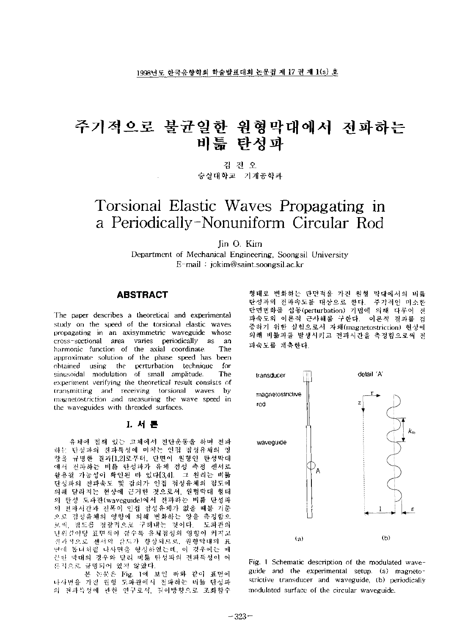# 주기적으로 불균일한 원형막대에서 전파하는 비틂 탄성파

김진 숭실대학교 기계공학과

# Torsional Elastic Waves Propagating in a Periodically-Nonuniform Circular Rod

Jin O. Kim

Department of Mechanical Engineering, Soongsil University E-mail : [jokim@saint.soongsil.ac.kr](mailto:jokim@saint.soongsil.ac.kr)

#### **ABSTRACT**

The paper describes a theoretical and experimental study on the speed of the torsional elastic waves propagating in an axisymmetric waveguide whose cross-sectional area varies periodically as an harmonic function of the axial coordinate. The approximate solution of the phase speed has been obtained using the perturbation technique for sinusoidal modulation of small amplitude. The experiment verifying the theoretical result consists of transmitting and receiving torsional waves by magnetostriction and measuring the wave speed in the waveguides with threaded surfaces.

### **L**

유체에 접해 있는 고체에서 전단운동을 하며 전파 하는 탄성파의 전파특성에 미치는 인접 점성유체의 향을 규명한 결과 [1,2]로부터, 단면이 원형인 탄성막대 에서 전파하는 비틂 탄성파가 유체 점성 측정 센서로 활용될 가능성이 확인된 바 있다[3,4]. 그 원리는 비틂 탄성파의 전파속도 감쇠가 인접 점성유체의 점도에 의해 달라지는 현상에 근거한 것으로서, 원형막대 형태 탄성 도파관(waveguide)에서 전파하는 비틂 탄성파 전파시간과 진폭이 인접 점성유체가 없을 때를 기준 으로 점성유체의 영향에 의해 변화하는 양을 측정함으 로써, 점도를 정량적으로 구해내는 것이다. 도파관의 닌위심이당 표면적이 클수록 유체점성의 영향이 커지고 실과적으로 센서의 감도가 향상되므로. 원형막대의 표 면에 톱니처럼 나사면을 형성하였는데, 이 경우에는 매 끈한 막대의 경우와 달리 비틂 탄성파의 전파특성이 론적으로 규명되어 있지 않았다.

본 논문은 Fig. 1에 보인 바와 같이 표면에 나사면을 가진 원형 도파관에서 전파하는 비틂 탄성파 전파특성에 관한 연구로서, 길이방향으로 조화함수

형태로 변화하는 단면적을 가진 원형 막대에서의 비틂 탄성파의 전파속도를 대상으로 한다. 주기적인 미소한 단면변화를 섭동(perturbation) 기법에 의해 다루어 파속도의 이론적 근사해를 구한다. 이론적 결과를 검 증하기 위한 실험으로서 자왜(magnetostriction) 현상에 의해 비틂파를 발생시키고 전파시간을 측정함으로써 파속도를 계측한다.



Fig. <sup>1</sup> Schematic description of the modulated waveguide and the experimental setup, (a) magnetostrictive transducer and waveguide, (b) periodically modulated surface of the circular waveguide.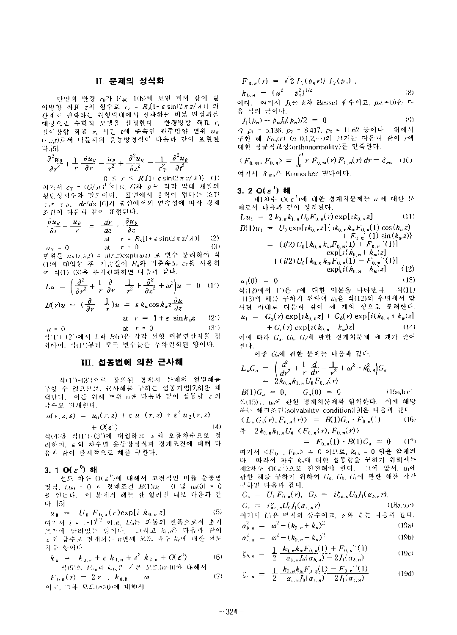## **II.** 문제의 정식화

단면의 반경 70가 Fig. 1(b)에 보인 바와 같이 길 이방향 좌표 z의 함수로  $r_o = R_o[1 + \varepsilon \sin(2\pi z/\lambda)]$  의 관계로 변화하는 원형막대에서 전파하는 비틂 탄성파를 try Art - Enside 1894 시장이다. 반경방향 좌표 r,<br>대상으로 수학적 모델을 설정한다. 반경방향 좌표 r,<br>*(r,z,t)*로써 버틂파의 운동방정식이 다음과 같이 표현된<br>다.[5]<br><u>- 이 �� + 1 러프 - 프</u> + 그곳 = - - 그 - 그곳 길이방향 좌표 z, 시간 (에 종속인 원주방향 변위 un ( ,2,f) 로써 비틂파의 운동방정식이 다음과 같이 표현된 다.[5]

$$
\frac{\partial^2 u_{\theta}}{\partial r^2} + \frac{1}{r} \frac{\partial u_{\theta}}{\partial r} - \frac{u_{\theta}}{r^2} + \frac{\partial^2 u_{\theta}}{\partial z^2} = \frac{1}{c_T^2} \frac{\partial^2 u_{\theta}}{\partial t^2}
$$

 $0 \leq r \leq R_0[1+\epsilon \sin(2\pi z/\lambda)]$  (1) 여기서  $c_T = (G/\rho)^{1/2}$ 이고,  $G$ 와  $\rho \in \mathbb{R}$  각각 막대 재질의 횡타성계수와 밀도이다. 표면에서 응력이 없다는 조건  $\tau$ <sup>-</sup>  $\tau$   $\theta$ <sup>2</sup> ·  $dr/dz$  [6]과 중심에서의 연속성에 따라 경계 조건이 다음과 같이 표현된다.

$$
\frac{\partial u_{\theta}}{\partial r} - \frac{u_{\theta}}{r} = \frac{dr}{dz} \cdot \frac{\partial u_{\theta}}{\partial z}
$$
\nat  $r = R_0[1 + \varepsilon \sin(2\pi z/\lambda)]$  (2)  
\n $u_{\theta} = 0$  at  $r = 0$  (3)  
\n $\forall \theta \in u_{\theta}(r, z, t) = u(r, z) \exp(i \omega t) \nsubseteq \n\forall \hat{r} \in \n\forall \theta \forall \theta \in \Delta$ 

(1)에 대입한 후, 기준길이 凡와 기준속도 cr를 사용하 여 식(1) (3)을 무차원화하면 다음과 같다.

$$
Lu = \left(\frac{\partial^2}{\partial r^2} + \frac{1}{r} \frac{\partial}{\partial r} - \frac{1}{r^2} + \frac{\partial^2}{\partial z^2} + \omega^2\right)u = 0 \quad (1')
$$

$$
B(r)u = \left(\frac{\partial}{\partial r} - \frac{1}{r}\right)u = \varepsilon k_w \cos k_w z \frac{\partial u}{\partial z}
$$
  
at  $r = 1 + \varepsilon \sin k_w z$  (2')

 $u = 0$  at  $r = 0$  (3')  $\overrightarrow{A}(1')$  (2')에서 L과  $B(r)$ 은 각각 선형 미분연산자를 정 의하며, 석(1')부터 모든 변수들은 무차원화된 양이다.

### **III.** 섭동법에 의한 근사해

(1')-(3')으로 정의된 경계치 문제의 엄밀해를 구할 수 없으므로, 근사해를 구하는 섭동기법[7,8]을 채 백한다. 이를 위해 변위 u를 다음과 같이 섭동량 ε의 급수로 전개한다.

$$
u(r, z, \varepsilon) = u_0(r, z) + \varepsilon u_1(r, z) + \varepsilon^2 u_2(r, z)
$$
  
+ O(\varepsilon^3) (4)

(4)<br>식(4)를 식(1′)-(3′)에 대입하고 ε의 오름차순으로 정 리하여, ε의 차수별 운동방정식과 경계조건에 대해 다 음과 같이 단계적으로 해를 구한다.

#### **3. <sup>1</sup> 0(£°)**

선도 차수 0(e°) 대해서 고전적인 비틂 운동방 정식, *Lu*<sub>0</sub> = 0 과 경계조건  $B(1)_{U_0} = 0$  및  $u_0(0) = 0$ 을 얻는다. 이 문제의 해는 잘 일러진 대로 다음과 같 . [5]

<sup>m</sup>()= *U<sup>Q</sup>* F0."(r)exp[z A:o." *z]* (5) 여기서 *i* <sup>=</sup> (-1)1'<sup>2</sup> 이고, *以는* 파동의 진폭으로서 초기 조건에 달려있는 양이다. 一二리고 , 다음고} 같이 £ 급수로 전개되는 "번째 파수 & 대한 선도 차수 항이다.

$$
k_n = k_{0,n} + \varepsilon k_{1,n} + \varepsilon^2 k_{2,n} + O(\varepsilon^3)
$$
  
 
$$
\stackrel{\triangle}{\sim} \{5\} \stackrel{\triangle}{=} F_{0,n} + k_{0,n} \stackrel{\triangle}{\sim} \sqrt{1} = F \stackrel{\triangle}{=} F_{0,n} - O(\varepsilon^3)
$$
 (6)

$$
F_{0,0}(r) = 2r, k_{0,0} = \omega
$$
 (7)

.이고, 고차 모드(n>0)에 내해서

$$
F_{0,n}(r) = \sqrt{2} J_1(p_n r) / J_2(p_n)
$$
  
\n
$$
k_{0,n} = (\omega^2 - p_n^2)^{1/2}
$$
\n(8)

어다. 여기서 *J<sub>k</sub>는 k*차 Bessel 합수이고,  $\rho_n(*)0$ 은 다 식의 근이다.

$$
J_1(p_n) - p_n J_0(p_n)/2 = 0
$$
\n(9)  
\n
$$
J_1(p_n) = 5.136, p_2 = 8.417, p_3 = 11.62 \frac{15}{6} \text{OH}. \text{994}
$$

구한 해 Fog(r) (n=0,1,2,…)의 크기는 다음과 같이 r에 대한 정규직교성(orthonormality) 만족한다.

$$
\langle F_{0,m}, F_{0,n} \rangle = \int_0^1 r F_{0,m}(r) F_{0,n}(r) dr = \delta_{mn} \quad (10)
$$
  
q) |A|  $\delta_{mn} \hat{\epsilon}$ : Kronecker, gHolF.

## **3. 2 0(** <sup>e</sup> <sup>1</sup>)

 $\overline{u}$ ( $\overline{u}$  +  $\overline{0}$ ( $\varepsilon$ <sup>1</sup>)에 내한 경계치문제는  $u_1$ 에 대한 분 제로서 다음과 같이 정리된다.

$$
Lu_1 = 2 k_{0,n} k_{1,n} U_0 F_{0,n}(r) \exp[i k_{0,n} z] \qquad (11)
$$
  
\n
$$
B(1)u_1 = U_0 \exp[i k_{0,n} z] \{ ik_{0,n} k_w F_{0,n}(1) \cos(k_w z) + F_{0,n'}(1) \sin(k_w z) \}
$$
  
\n
$$
= (i/2) U_0 [k_{0,n} k_w F_{0,n}(1) + F_{0,n'}(1)]
$$
  
\n
$$
\exp[i (k_{0,n} + k_w) z]
$$
  
\n
$$
+ (i/2) U_0 [k_{0,n} k_w F_{0,n}(1) - F_{0,n'}(1)]
$$
  
\n
$$
\exp[i (k_{0,n} - k_w) z] \qquad (12)
$$
  
\n
$$
u_1(0) = 0 \qquad (13)
$$

삭(12)에서 (')은 r에 대한 미분을 나타낸다. (4(11) -(13)의 해를 구하기 위하여  $u_1$ 을 식(12)의 우변에서 암 시된 바대로 다음과 같이 개의 항으로 분해한다  $= G_a(r) \exp[i k_{0,n} z] + G_b(r) \exp[i (k_{0,n} + k_m) z]$ <br>+  $G_c(r) \exp[i (k_{0,n} - k_m) z]$  (14)

이에 따라 *Ga, Gb* 관한 경계치문제 개가 얻어 친다.

이*중 Ga*에 관한 문제는 다음과 같다.

진(4)  
\n
$$
C_n = \left( \frac{d^2}{dr^2} + \frac{1}{r} \frac{d}{dr} - \frac{1}{r^2} + \omega^2 - k_0^2 \right) C_n
$$
\n
$$
= \frac{2k_0}{r^2} + \frac{1}{r} \frac{d}{dr} - \frac{1}{r^2} + \omega^2 - k_0^2 \Big|_{r} C_n
$$

 $B(1)G_a = 0$ ,  $G_a(0) = 0$  (15a,b,c) (1)O<sub>u</sub> — 0, O<sub>u</sub>(0) ,<br>(15)는 <sub>40</sub>에 관한 경계치문제와 일처한다. 이에 해당 하는 해결조건(solvability condition)[9]은 다음과 같다.  $\langle L_n G_n(r), F_{0,n}(r) \rangle = B(1) G_a \cdot F_{0,n}(1)$  (16)  $G_a = 0$ ,  $G_a(0) = 0$ <br>  $G_b = 0$ ,  $G_a(0) = 0$ <br>  $G_b = 0$ <br>  $G_b = 0$ <br>  $G_a(r)$ ,  $F_{0,n}(r) = B(1)G_a$ <br>  $G_a(r)$ ,  $F_{0,n}(r) = B(1)G_a$ <br>  $G_b = 2k_{0,n}k_{1,n}U_0$   $\langle F_{0,n}(r), F_{0,n}(r) \rangle$  $\tilde{\tau}_1^2 = 2k_{0,n}k_{1,n}U_0 \leq F_{0,n}(r), F_{0,n}(r)$ 

$$
= F_{0, n}(1) \cdot B(1)G_n = 0 \qquad (17)
$$

여기서 *<Fl"n* , F<sup>0</sup>.n> + 0 이므로, *k"n* <sup>=</sup> 0 임을 알게된 다. 따라서 파수 km에 대한 섭동량을 구하기 위해서는 제2차수  $O(\varepsilon^2)$ 으로 진전해야 한다. 그에 앞서,  $u_1$ 에 관한 해를 구하기 위하여 *Ga, Gb,* G 관한 해를 각각 구하면 다음과 같다.

$$
G_a = U_1 F_{0,n}(r), G_b = i\xi_{b,n}U_0J_1(\alpha_{b,n}r),
$$
  
\n
$$
G_c = i\xi_{c,n}U_0J_1(\alpha_{c,n}r)
$$
 (18a,b,c)  
\n
$$
\alpha \forall |\forall j \in \mathbb{N} \land \exists j \land \forall \hat{\tau} \land \exists j, \alpha \land \forall j \in \mathbb{N} \land \exists j \forall k.
$$

$$
\alpha_{b,n}^{2} = \omega^{2} - (k_{0,n} + k_{w})^{2}
$$
\n(19a)

$$
\alpha_{\epsilon,n}^2 = \omega^2 - (k_{0,n} - k_n)^2
$$
\n(19b)\n  
\n
$$
k_{0,n} k_w F_{0,n}(1) + F_{0,n}^{\epsilon'}(1)
$$
\n(19b)

$$
\zeta_{b,n} = \frac{1}{2} \frac{k_{0,n} k_n F_{0,n}(1) + F_{0,n}^{\prime\prime}(1)}{a_{b,n} f_0(a_{b,n}) - 2f_1(a_{b,n})}
$$
(19c)

$$
\xi_{b,n} = \frac{1}{2} \frac{k_{0,n} k_{w} F_{0,n}(1) + F_{0,n}^{\prime \prime}(1)}{\alpha_{b,n} f_0(\alpha_{b,n}) - 2 f_1(\alpha_{b,n})}
$$
(19c)  

$$
\xi_{c,n} = \frac{1}{2} \frac{k_{0,n} k_{w} F_{0,n}(1) - F_{0,n}^{\prime \prime}(1)}{\alpha_{c,n} f_0(\alpha_{c,n}) - 2 f_1(\alpha_{c,n})}
$$
(19d)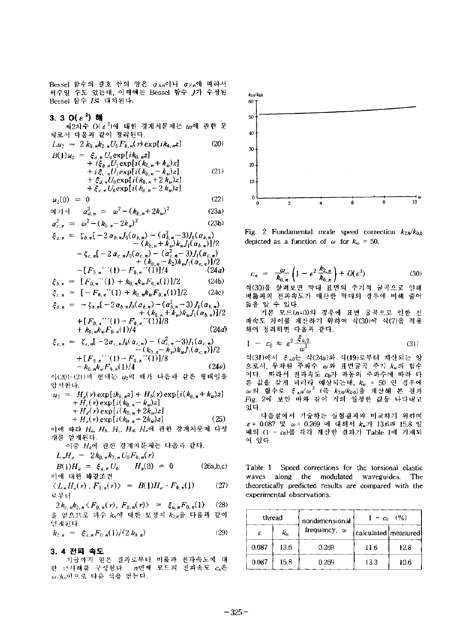Bessel 함수의 괄호 안의 양은  $\alpha_{h,n}$ 이나  $\alpha_{e,n}$ 에 따라서 허수일 수도 있는데, 이때에는 Bessel 함수 J가 수정된 Bessel 함수 *I* 대치된다.

 $3.3$   $O(\varepsilon^2)$  해

제2차수  $O(\, \varepsilon^{\, 2})$ 에 대한 경계치문제는  $u_2$ 에 관한 문 제로서 다음과 같이 정리된다.

$$
Lu_2 = 2 k_{0,n} k_{2,n} U_0 F_{0,n}(r) \exp[i k_{0,n} z]
$$
 (20)  

$$
B(1) u_2 = \mathcal{E}_{n-1} U_0 \exp[i k_{0,n} z]
$$

$$
D(1)u_2 = \xi_{a,n} \partial_0 \exp\{i(k_0, n + k_w)x\} + i\xi_{b,n} U_1 \exp\{i(k_0, n + k_w)x\} + i\xi_{c,n} U_1 \exp\{i(k_0, n - k_w)z\} + \xi_{d,n} U_0 \exp\{i(k_0, n + 2 k_w)z\} + \xi_{e,n} U_0 \exp\{i(k_0, n - 2 k_w)z\}
$$
(21)

$$
u_2(0) = 0 \tag{22}
$$

$$
\alpha_7 | \lambda| \qquad a_{d,n}^2 = \omega^2 - (k_{0,n} + 2k_{\omega})^2 \qquad (23a)
$$
  
\n
$$
a_{e,n}^2 = \omega^2 - (k_{0,n} - 2k_{\omega})^2 \qquad (23b)
$$

$$
\xi_{a,n} = \zeta_{b,n}[-2 \alpha_{b,n}J_0(\alpha_{b,n}) - (\alpha_{b,n}^2 - 3)J_1(\alpha_{b,n}) - (\alpha_{b,n} + k_w)k_wJ_1(\alpha_{b,n})]/2
$$
  
\n
$$
- \zeta_{c,n}[-2 \alpha_{c,n}J_0(\alpha_{c,n}) - (\alpha_{c,n}^2 - 3)J_1(\alpha_{c,n}) + (k_{0,n} - k_2)k_wJ_1(\alpha_{c,n})]/2
$$
  
\n
$$
- [F_{0,n}T_0] - F_{0,n}T_0][1]/4 \qquad (24a)
$$
  
\n
$$
\xi_{b,n} = [F_{0,n}T_0] + k_{0,n}k_wF_{0,n}(1)]/2 \qquad (24b)
$$

$$
\xi_{b,n} = [F_{0,n}^{\prime\prime}(1) + k_{0,n}k_{w}F_{0,n}(1)]/2 \qquad (24b)
$$

$$
\xi_{\epsilon,n} = [-F_{0,n}^{\prime\prime}(1) + k_{0,n}k_wF_{0,n}(1)]/2 \qquad (24c)
$$
  

$$
\xi_{d,n} = -\zeta_{b,n}[-2\alpha_{b,n}J_0(\alpha_{b,n}) - (\alpha_{b,n}^2-3)J_1(\alpha_{b,n})]
$$

$$
\xi_{d,n} = -\xi_{b,n}I - 2\alpha_{b,n}J_0(\alpha_{b,n}) - (\alpha_{b,n} - 3)J_1(\alpha_{b,n})
$$
  
+  $(k_{0,n} + k_w)k_wJ_1(\alpha_{b,n})J_1/2$   
+  $[F_{0,n}^{\prime\prime\prime}(1) - F_{0,n}^{\prime\prime\prime}(1)]/8$   
+  $k_{0,n}k_wF_{0,n}(1)/4$  (24d)  
 $\xi_{e,n} = \xi_{e,n}I - 2\alpha_{e,n}J_0(\alpha_{e,n}) - (\alpha_{e,n}^2 - 3)J_1(\alpha_{e,n})$ 

$$
\xi_{e,n} = \xi_{e,n}[-2\alpha_{e,n}J_0(\alpha_{e,n}) - (\alpha_{e,n}^2 - 3)J_1(\alpha_{e,n}) - (k_{0,n} - k_w)k_wJ_1(\alpha_{e,n})]/2
$$
  
+  $[F_{0,n}^{(1)}(1) - F_{0,n}^{(1)}(1)]/8$   
-  $k_{0,n}k_wF_{0,n}(1)/4$  (24e)

 $\Delta(20)-(21)$ 의 형태는  $(n2)$  해가 다음과 같은 형태임을 암시한다.

$$
u_2 = H_a(r) \exp\{ik_{0,n}z\} + H_b(r) \exp[i(k_{0,n} + k_w)z] + H_c(r) \exp[i(k_{0,n} - k_w)z] + H_d(r) \exp[i(k_{0,n} + 2k_w)z] + H_e(r) \exp[i(k_{0,n} - 2k_w)z]
$$
 (25)

이에 따라 *H<sup>a</sup>, H<sup>b</sup>, He, H<sup>d</sup>,* He 관한 경계치문제 다섯 개를 얻게된다.

이중 *Ha^* 관한 경계치문제는 다음과 같다.

$$
L_n H_a = 2 k_{0,n} k_{2,n} U_0 F_{0,n}(r)
$$

 $B(1)H_a = \xi_{a,n} U_{0}$  $H_a(0) = 0$  (26a,b,c) 이에 대한 해결조건

 $\langle L_n H_a(r) , F_{0,n}(r) \rangle = B(1) H_a \cdot F_{0,n}(1)$  (27) 로부터

 $2k_{0, n}k_{2, n} \langle F_{0, n}(r), F_{0, n}(r) \rangle = \xi_{a, n}F_{0, n}(1)$  (28) 을 얻으므로 파수 kn에 대한 보정치 k2m을 다음과 같이 얻게된다.

$$
k_{2,n} = \xi_{a,n} F_{0,n}(1)/(2 k_{0,n})
$$
 (29)

#### **3. 4** 전파 속도

지금까지 얻은 결과로부터 비틂파 전파속도에 한 근사해를 구성한다. n번째 모드의 전파속도 cn은  $\omega/k_o$ 이므로 다음 식을 얻는다.



Fig. 2 Fundamental mode speed correction *k2,o/ko,o* depicted as a function of  $\omega$  for  $k_m = 50$ .

$$
c_n = \frac{\omega}{k_{0,n}} \left( 1 - \varepsilon^2 \frac{k_{2,n}}{k_{0,n}} \right) + O(\varepsilon^3)
$$
 (30)

(30) 살펴보면 막대 표면의 주기적 굴곡으로 인해 비틂파의 전파속도가 매끈한 막대의 경우에 비해 줄어 듦을 있다.

기본 모드(n=0)의 경우에 표면 굴곡으로 인한 전 파속도 차이를 계산하기 위하여 식(30)에 식(7)을 적용 하여 정리하면 다음과 같다.

$$
1 - c_0 \approx \varepsilon^2 \frac{\xi_{a,0}}{\omega^2} \tag{31}
$$

식(31)에서 ξ<sub>a0</sub>는 식(24a)와 식(19)로부터 계산되는 양 으로서, 무차원 주파수 ω와 표면굴곡 주기 kw의 함수 이다. 따라서 전파속도 ω가 파동의 주파수에 따라 다 값을 갖게 되리라 예상되는데, *k<sub>i</sub> = 50* 인 경우에  $\omega$ 의 화수로  $\varepsilon$  a/ $\omega^2$  (즉  $k_{20}/k_{00}$ )을 계산해 본 결과 Fig. 2에 보인 바와 같이 거의 일정한 값을 나타내고 있다.

다음절에서 기술하는 실험결과와 비교하기 위하여  $\varepsilon$  = 0.087 및 ω = 0.269 에 대해서 *kw*가 13.6과 15.8 일 때의 (1 - ω)를 각각 계산한 결과가 Table 1에 기재되 있다.

Table <sup>1</sup> Speed corrections for the torsional elastic waves along the modulated waveguides. The theoretically predicted results are compared with the experimental observations.

| thread |      | nondimensional      | $1 - c_0$ (%)         |      |
|--------|------|---------------------|-----------------------|------|
| £      | k.   | frequency, $\omega$ | calculated [measured] |      |
| 0.087  | 13.6 | 0.269               | 11.6                  | 12.8 |
| 0.087  | 15.8 | 0.269               | 13.3                  | 10.6 |